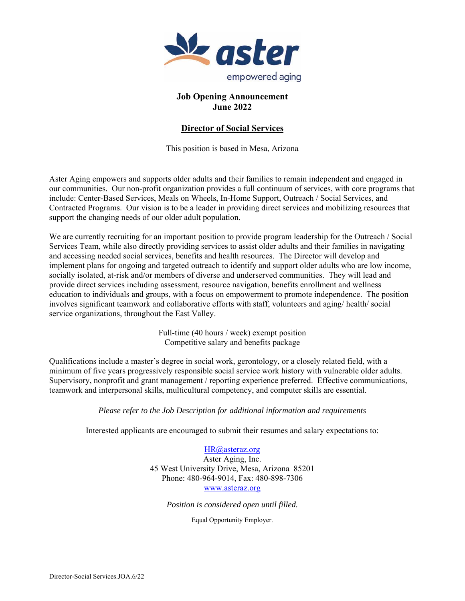

### **Job Opening Announcement June 2022**

# **Director of Social Services**

This position is based in Mesa, Arizona

Aster Aging empowers and supports older adults and their families to remain independent and engaged in our communities. Our non-profit organization provides a full continuum of services, with core programs that include: Center-Based Services, Meals on Wheels, In-Home Support, Outreach / Social Services, and Contracted Programs. Our vision is to be a leader in providing direct services and mobilizing resources that support the changing needs of our older adult population.

We are currently recruiting for an important position to provide program leadership for the Outreach / Social Services Team, while also directly providing services to assist older adults and their families in navigating and accessing needed social services, benefits and health resources. The Director will develop and implement plans for ongoing and targeted outreach to identify and support older adults who are low income, socially isolated, at-risk and/or members of diverse and underserved communities. They will lead and provide direct services including assessment, resource navigation, benefits enrollment and wellness education to individuals and groups, with a focus on empowerment to promote independence. The position involves significant teamwork and collaborative efforts with staff, volunteers and aging/ health/ social service organizations, throughout the East Valley.

> Full-time (40 hours / week) exempt position Competitive salary and benefits package

Qualifications include a master's degree in social work, gerontology, or a closely related field, with a minimum of five years progressively responsible social service work history with vulnerable older adults. Supervisory, nonprofit and grant management / reporting experience preferred. Effective communications, teamwork and interpersonal skills, multicultural competency, and computer skills are essential.

### *Please refer to the Job Description for additional information and requirements*

Interested applicants are encouraged to submit their resumes and salary expectations to:

HR@asteraz.org Aster Aging, Inc. 45 West University Drive, Mesa, Arizona 85201 Phone: 480-964-9014, Fax: 480-898-7306 www.asteraz.org

*Position is considered open until filled.* 

Equal Opportunity Employer.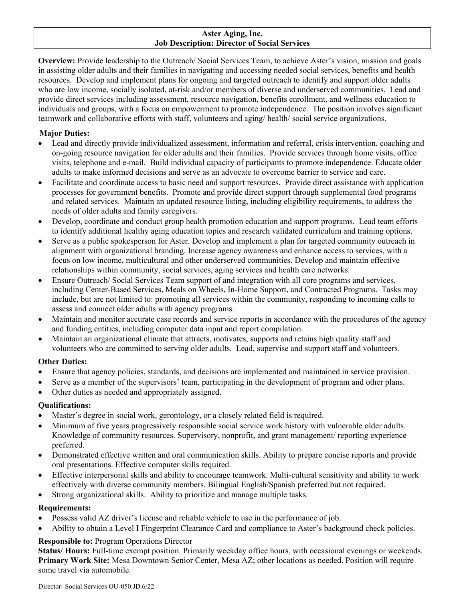#### **Aster Aging, Inc. Job Description: Director of Social Services**

**Overview:** Provide leadership to the Outreach/ Social Services Team, to achieve Aster's vision, mission and goals in assisting older adults and their families in navigating and accessing needed social services, benefits and health resources. Develop and implement plans for ongoing and targeted outreach to identify and support older adults who are low income, socially isolated, at-risk and/or members of diverse and underserved communities. Lead and provide direct services including assessment, resource navigation, benefits enrollment, and wellness education to individuals and groups, with a focus on empowerment to promote independence. The position involves significant teamwork and collaborative efforts with staff, volunteers and aging/ health/ social service organizations.

## **Major Duties:**

- Lead and directly provide individualized assessment, information and referral, crisis intervention, coaching and on-going resource navigation for older adults and their families. Provide services through home visits, office visits, telephone and e-mail. Build individual capacity of participants to promote independence. Educate older adults to make informed decisions and serve as an advocate to overcome barrier to service and care.
- Facilitate and coordinate access to basic need and support resources. Provide direct assistance with application processes for government benefits. Promote and provide direct support through supplemental food programs and related services. Maintain an updated resource listing, including eligibility requirements, to address the needs of older adults and family caregivers.
- Develop, coordinate and conduct group health promotion education and support programs. Lead team efforts to identify additional healthy aging education topics and research validated curriculum and training options.
- Serve as a public spokesperson for Aster. Develop and implement a plan for targeted community outreach in alignment with organizational branding. Increase agency awareness and enhance access to services, with a focus on low income, multicultural and other underserved communities. Develop and maintain effective relationships within community, social services, aging services and health care networks.
- Ensure Outreach/ Social Services Team support of and integration with all core programs and services, including Center-Based Services, Meals on Wheels, In-Home Support, and Contracted Programs. Tasks may include, but are not limited to: promoting all services within the community, responding to incoming calls to assess and connect older adults with agency programs.
- Maintain and monitor accurate case records and service reports in accordance with the procedures of the agency and funding entities, including computer data input and report compilation.
- Maintain an organizational climate that attracts, motivates, supports and retains high quality staff and volunteers who are committed to serving older adults. Lead, supervise and support staff and volunteers.

### **Other Duties:**

- Ensure that agency policies, standards, and decisions are implemented and maintained in service provision.
- Serve as a member of the supervisors' team, participating in the development of program and other plans.
- Other duties as needed and appropriately assigned.

### **Qualifications:**

- Master's degree in social work, gerontology, or a closely related field is required.
- Minimum of five years progressively responsible social service work history with vulnerable older adults. Knowledge of community resources. Supervisory, nonprofit, and grant management/ reporting experience preferred.
- Demonstrated effective written and oral communication skills. Ability to prepare concise reports and provide oral presentations. Effective computer skills required.
- Effective interpersonal skills and ability to encourage teamwork. Multi-cultural sensitivity and ability to work effectively with diverse community members. Bilingual English/Spanish preferred but not required.
- Strong organizational skills. Ability to prioritize and manage multiple tasks.

### **Requirements:**

- Possess valid AZ driver's license and reliable vehicle to use in the performance of job.
- Ability to obtain a Level I Fingerprint Clearance Card and compliance to Aster's background check policies. \

# **Responsible to:** Program Operations Director

**Status/ Hours:** Full-time exempt position. Primarily weekday office hours, with occasional evenings or weekends. **Primary Work Site:** Mesa Downtown Senior Center, Mesa AZ; other locations as needed. Position will require some travel via automobile.